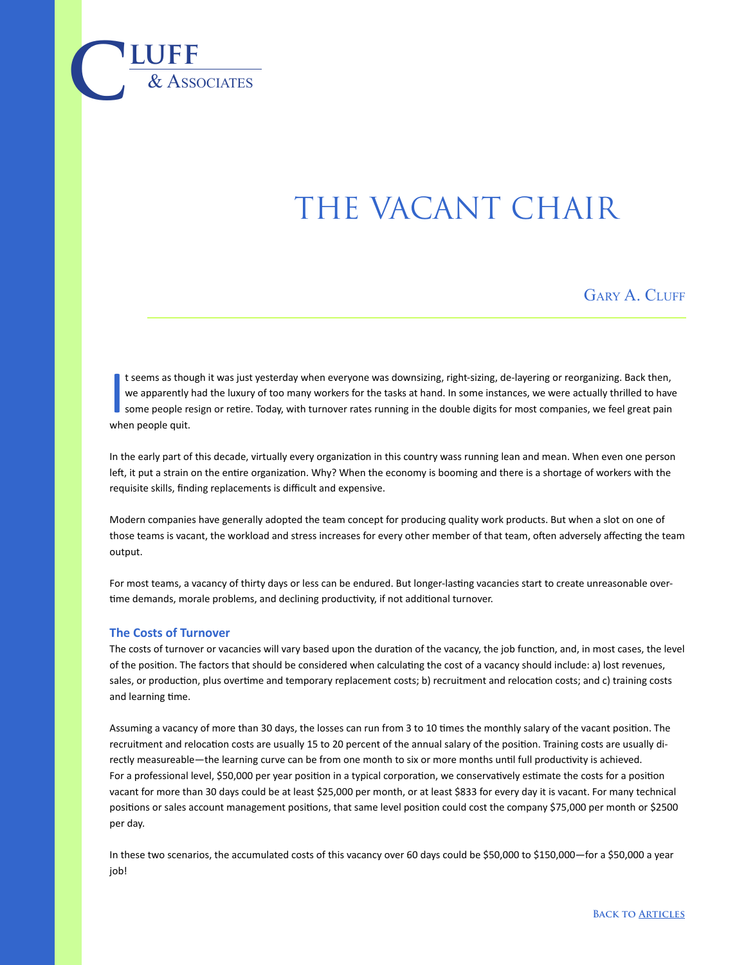## the vacant chair

GARY A. CLUFF

I t seems as though it was just yesterday when everyone was downsizing, right-sizing, de-layering or reorganizing. Back then, we apparently had the luxury of too many workers for the tasks at hand. In some instances, we were actually thrilled to have some people resign or retire. Today, with turnover rates running in the double digits for most companies, we feel great pain when people quit.

In the early part of this decade, virtually every organization in this country wass running lean and mean. When even one person left, it put a strain on the entire organization. Why? When the economy is booming and there is a shortage of workers with the requisite skills, finding replacements is difficult and expensive.

Modern companies have generally adopted the team concept for producing quality work products. But when a slot on one of those teams is vacant, the workload and stress increases for every other member of that team, often adversely affecting the team output.

For most teams, a vacancy of thirty days or less can be endured. But longer-lasting vacancies start to create unreasonable overtime demands, morale problems, and declining productivity, if not additional turnover.

## **The Costs of Turnover**

 $\overline{\text{LUFF}}$  **luff** 

The costs of turnover or vacancies will vary based upon the duration of the vacancy, the job function, and, in most cases, the level of the position. The factors that should be considered when calculating the cost of a vacancy should include: a) lost revenues, sales, or production, plus overtime and temporary replacement costs; b) recruitment and relocation costs; and c) training costs and learning time.

Assuming a vacancy of more than 30 days, the losses can run from 3 to 10 times the monthly salary of the vacant position. The recruitment and relocation costs are usually 15 to 20 percent of the annual salary of the position. Training costs are usually directly measureable—the learning curve can be from one month to six or more months until full productivity is achieved. For a professional level, \$50,000 per year position in a typical corporation, we conservatively estimate the costs for a position vacant for more than 30 days could be at least \$25,000 per month, or at least \$833 for every day it is vacant. For many technical positions or sales account management positions, that same level position could cost the company \$75,000 per month or \$2500 per day.

In these two scenarios, the accumulated costs of this vacancy over 60 days could be \$50,000 to \$150,000—for a \$50,000 a year job!